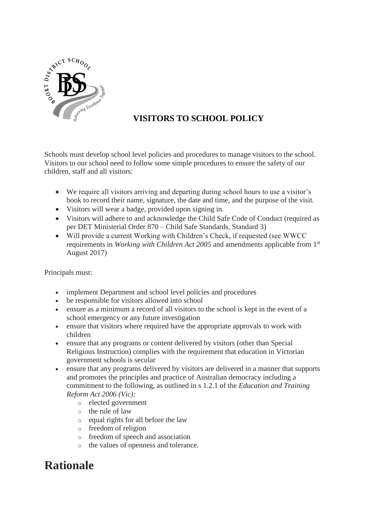

## **VISITORS TO SCHOOL POLICY**

Schools must develop school level policies and procedures to manage visitors to the school. Visitors to our school need to follow some simple procedures to ensure the safety of our children, staff and all visitors:

- We require all visitors arriving and departing during school hours to use a visitor's book to record their name, signature, the date and time, and the purpose of the visit.
- Visitors will wear a badge, provided upon signing in.
- Visitors will adhere to and acknowledge the Child Safe Code of Conduct (required as per DET Ministerial Order 870 – Child Safe Standards, Standard 3)
- Will provide a current Working with Children's Check, if requested (see WWCC requirements in *Working with Children Act 2005* and amendments applicable from 1st August 2017)

Principals must:

- implement Department and school level policies and procedures
- be responsible for visitors allowed into school
- ensure as a minimum a record of all visitors to the school is kept in the event of a school emergency or any future investigation
- ensure that visitors where required have the appropriate approvals to work with children
- ensure that any programs or content delivered by visitors (other than Special Religious Instruction) complies with the requirement that education in Victorian government schools is secular
- ensure that any programs delivered by visitors are delivered in a manner that supports and promotes the principles and practice of Australian democracy including a commitment to the following, as outlined in s 1.2.1 of the *Education and Training Reform Act 2006 (Vic):*
	- o elected government
	- o the rule of law
	- o equal rights for all before the law
	- o freedom of religion
	- o freedom of speech and association
	- o the values of openness and tolerance.

## **Rationale**